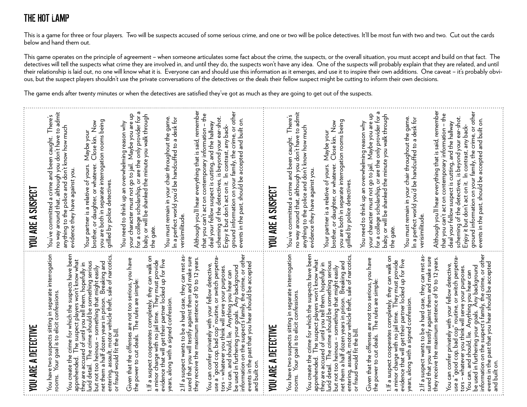## THE HOT LAMP

This is a game for three or four players. Two will be suspects accused of some serious crime, and one or two will be police detectives. It'll be most fun with two and two. Cut out the cards below and hand them out.

This game operates on the principle of agreement – when someone articulates some fact about the crime, the suspects, or the overall situation, you must accept and build on that fact. The detectives will tell the suspects what crime they are involved in, and until they do, the suspects won't have any idea. One of the suspects will probably explain that they are related, and until their relationship is laid out, no one will know what it is. Everyone can and should use this information as it emerges, and use it to inspire their own additions. One caveat – it's probably obvious, but the suspect players shouldn't use the private conversations of the detectives or the deals their fellow suspect might be cutting to inform their own decisions.

The game ends after twenty minutes or when the detectives are satisfied they've got as much as they are going to get out of the suspects.

| YOU ARE A DETECTIVE                                                                                                                                                                                                                                                                                                                                                                                            | YOU ARE A SUSPECT                                                                                                                                                                                                                                                                                                                              |
|----------------------------------------------------------------------------------------------------------------------------------------------------------------------------------------------------------------------------------------------------------------------------------------------------------------------------------------------------------------------------------------------------------------|------------------------------------------------------------------------------------------------------------------------------------------------------------------------------------------------------------------------------------------------------------------------------------------------------------------------------------------------|
| You have two suspects sitting in separate interrogation<br>Your goal is to elicit confessions.<br>rooms.                                                                                                                                                                                                                                                                                                       | no way around that, although you don't have to admit<br>anything to the police and don't know how much<br>You've committed a crime and been caught. There's<br>evidence they have against you.                                                                                                                                                 |
| You create the crime for which the suspects have been<br>apprehended. The suspect players won't know what<br>they are accused of until you tell them, hopefully in<br>lurid detail. The crime should be something serious<br>but not too h<br>net them a half dozen years in prison. Breaking and<br>entering, assault, motor vehicle theft, sale of narcotics<br>or fraud would fit the bill.                 | you are both in separate interrogation rooms being<br>Close kin. Now<br>Maybe your<br>Your partner is a relative of yours.<br>brother, or daughter, or whatever.<br>grilled by police detectives.                                                                                                                                              |
| Given that the offenses are not too serious, you have<br>the power to cut deals. The rules are simple:                                                                                                                                                                                                                                                                                                         | your character must not go to jail. Maybe you are up<br>baby, or will be shanked the minute you walk through<br>for a college scholarship, or are the only provider for<br>You need to think up an overwhelming reason why                                                                                                                     |
| 1.If a suspect cooperates completely, they can walk on<br>a minor charge with no jail time. They must provide<br>evidence that will get their partner locked up for five<br>years, along with a signed confession.                                                                                                                                                                                             | You must remain in your chair throughout the game.<br>In a perfect world you'd be handcuffed to a desk for<br>the gate.                                                                                                                                                                                                                        |
| 2. If a suspect wants to be a hard case, they can rest as<br>sured that you will testify against them and make sure<br>they receive the maximum sentence of 10 to 12 years.                                                                                                                                                                                                                                    | Although you'll hear everything that is said, remember<br>verisimilitude.                                                                                                                                                                                                                                                                      |
| You can confer privately with your fellow detective,                                                                                                                                                                                                                                                                                                                                                           | that you can't act on contemporary information - the<br>scheming of the detectives, is beyond your ear-shot.<br>deal your fellow suspect is cutting, and the hallway<br>Enjoy it but don't act on it. In contrast, any back-                                                                                                                   |
| ō<br>use a "good cop, bad cóp" routine, or switch perpetrators - whatever you think will serve your purposes.<br>You can, and should, lie. Anything you hear can<br>be used in furthering your goals. Any background<br>information on the s<br>and built on                                                                                                                                                   | ground information on your family, the crime, or other<br>events in the past, should be accepted and built on.                                                                                                                                                                                                                                 |
| YOU ARE A DETECTIVE                                                                                                                                                                                                                                                                                                                                                                                            | YOU ARE A SUSPECT                                                                                                                                                                                                                                                                                                                              |
| You have two suspects sitting in separate interrogation<br>rooms. Your goal is to elicit confessions.                                                                                                                                                                                                                                                                                                          | no way around that, although you don't have to admit<br>You've committed a crime and been caught. There's                                                                                                                                                                                                                                      |
| You create the crime for which the suspects have been<br>apprehended. The suspect players won't know what<br>they are accused of until you tell them, hopefully in<br>Jurid detail. The crime should be something serious                                                                                                                                                                                      | anything to the police and don't know how much<br>evidence they have against you.                                                                                                                                                                                                                                                              |
| net them a half dozen years in prison. Breaking and<br>entering, assault, motor vehicle theft, sale of narcotics,<br>or fraud would fit the bill.<br>but not too heinous - something that might easily                                                                                                                                                                                                         | brother, or daughter, or whatever.  Close kin. Now<br>you are both in separate interrogation rooms being<br>Close kin. Now<br>Maybe your<br>Your partner is a relative of yours.<br>grilled by police detectives.                                                                                                                              |
| Given that the offenses are not too serious, you have<br>the power to cut deals. The rules are simple:                                                                                                                                                                                                                                                                                                         | for a college scholarship, or are the only provider for a<br>baby, or will be shanked the minute you walk through<br>your character must not go to jail. Maybe you are up<br>You need to think up an overwhelming reason why                                                                                                                   |
| 1.If a suspect cooperates completely, they can walk on<br>a minor charge with no jail time. They must provide<br>evidence that will get their partner locked up for five                                                                                                                                                                                                                                       | the gate                                                                                                                                                                                                                                                                                                                                       |
| years, along with a signed confession.                                                                                                                                                                                                                                                                                                                                                                         | You must remain in your chair throughout the game.<br>In a perfect world you'd be handcuffed to a desk for<br>verisimilitude.                                                                                                                                                                                                                  |
| 2.If a suspect wants to be a hard case, they can rest assured that you will testify against them and make sure<br>they receive the maximum sentence of 10 to 12 years.                                                                                                                                                                                                                                         | Although you'll hear everything that is said, remember                                                                                                                                                                                                                                                                                         |
| You can, and should, lie. Anything you hear can<br>be used in furthering your goals. Any background<br>information on the suspects family, the crime, or other<br>events in the past that you hear should be accepted<br>You can confer privately with your fellow detective,<br>use a 'good cop, bad cop' routine, or switch perpetra<br>tors - whatever you think will serve your purposes.<br>and built on. | ground information on your family, the crime, or other<br>events in the past, should be accepted and built on.<br>that you can't act on contemporary information – the<br>scheming of the detectives, is beyond your ear-shot.<br>deal your fellow suspect is cutting, and the hallway<br>Enjoy it but don't act on it. In contrast, any back- |
|                                                                                                                                                                                                                                                                                                                                                                                                                |                                                                                                                                                                                                                                                                                                                                                |